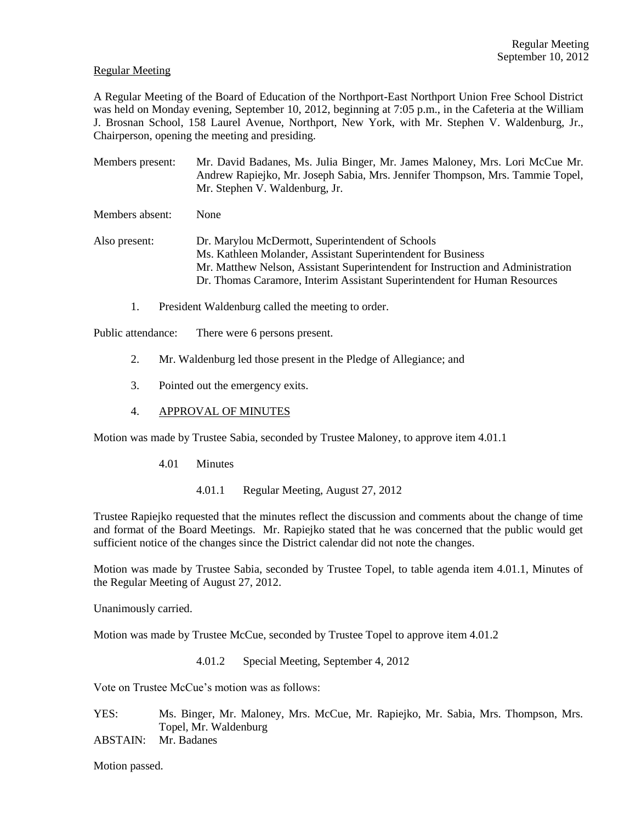### Regular Meeting

A Regular Meeting of the Board of Education of the Northport-East Northport Union Free School District was held on Monday evening, September 10, 2012, beginning at 7:05 p.m., in the Cafeteria at the William J. Brosnan School, 158 Laurel Avenue, Northport, New York, with Mr. Stephen V. Waldenburg, Jr., Chairperson, opening the meeting and presiding.

Members present: Mr. David Badanes, Ms. Julia Binger, Mr. James Maloney, Mrs. Lori McCue Mr. Andrew Rapiejko, Mr. Joseph Sabia, Mrs. Jennifer Thompson, Mrs. Tammie Topel, Mr. Stephen V. Waldenburg, Jr.

Members absent: None

Also present: Dr. Marylou McDermott, Superintendent of Schools Ms. Kathleen Molander, Assistant Superintendent for Business Mr. Matthew Nelson, Assistant Superintendent for Instruction and Administration Dr. Thomas Caramore, Interim Assistant Superintendent for Human Resources

1. President Waldenburg called the meeting to order.

Public attendance: There were 6 persons present.

- 2. Mr. Waldenburg led those present in the Pledge of Allegiance; and
- 3. Pointed out the emergency exits.
- 4. APPROVAL OF MINUTES

Motion was made by Trustee Sabia, seconded by Trustee Maloney, to approve item 4.01.1

- 4.01 Minutes
	- 4.01.1 Regular Meeting, August 27, 2012

Trustee Rapiejko requested that the minutes reflect the discussion and comments about the change of time and format of the Board Meetings. Mr. Rapiejko stated that he was concerned that the public would get sufficient notice of the changes since the District calendar did not note the changes.

Motion was made by Trustee Sabia, seconded by Trustee Topel, to table agenda item 4.01.1, Minutes of the Regular Meeting of August 27, 2012.

Unanimously carried.

Motion was made by Trustee McCue, seconded by Trustee Topel to approve item 4.01.2

4.01.2 Special Meeting, September 4, 2012

Vote on Trustee McCue's motion was as follows:

YES: Ms. Binger, Mr. Maloney, Mrs. McCue, Mr. Rapiejko, Mr. Sabia, Mrs. Thompson, Mrs. Topel, Mr. Waldenburg

ABSTAIN: Mr. Badanes

Motion passed.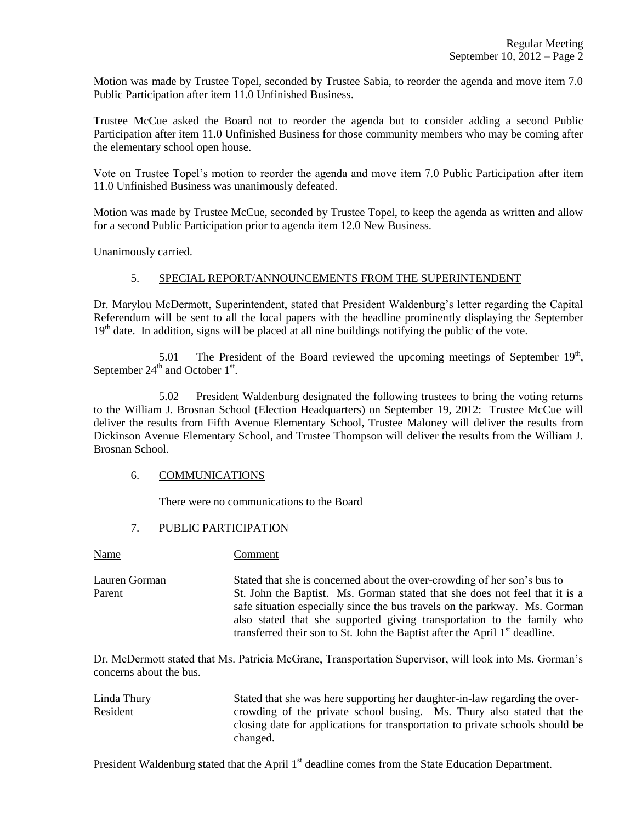Motion was made by Trustee Topel, seconded by Trustee Sabia, to reorder the agenda and move item 7.0 Public Participation after item 11.0 Unfinished Business.

Trustee McCue asked the Board not to reorder the agenda but to consider adding a second Public Participation after item 11.0 Unfinished Business for those community members who may be coming after the elementary school open house.

Vote on Trustee Topel's motion to reorder the agenda and move item 7.0 Public Participation after item 11.0 Unfinished Business was unanimously defeated.

Motion was made by Trustee McCue, seconded by Trustee Topel, to keep the agenda as written and allow for a second Public Participation prior to agenda item 12.0 New Business.

Unanimously carried.

## 5. SPECIAL REPORT/ANNOUNCEMENTS FROM THE SUPERINTENDENT

Dr. Marylou McDermott, Superintendent, stated that President Waldenburg's letter regarding the Capital Referendum will be sent to all the local papers with the headline prominently displaying the September  $19<sup>th</sup>$  date. In addition, signs will be placed at all nine buildings notifying the public of the vote.

5.01 The President of the Board reviewed the upcoming meetings of September  $19<sup>th</sup>$ , September  $24^{\text{th}}$  and October  $1^{\text{st}}$ .

5.02 President Waldenburg designated the following trustees to bring the voting returns to the William J. Brosnan School (Election Headquarters) on September 19, 2012: Trustee McCue will deliver the results from Fifth Avenue Elementary School, Trustee Maloney will deliver the results from Dickinson Avenue Elementary School, and Trustee Thompson will deliver the results from the William J. Brosnan School.

# 6. COMMUNICATIONS

Name Comment

There were no communications to the Board

## 7. PUBLIC PARTICIPATION

Lauren Gorman Stated that she is concerned about the over-crowding of her son's bus to Parent St. John the Baptist. Ms. Gorman stated that she does not feel that it is a safe situation especially since the bus travels on the parkway. Ms. Gorman also stated that she supported giving transportation to the family who transferred their son to St. John the Baptist after the April  $1<sup>st</sup>$  deadline.

Dr. McDermott stated that Ms. Patricia McGrane, Transportation Supervisor, will look into Ms. Gorman's concerns about the bus.

Linda Thury Stated that she was here supporting her daughter-in-law regarding the over-Resident crowding of the private school busing. Ms. Thury also stated that the closing date for applications for transportation to private schools should be changed.

President Waldenburg stated that the April 1<sup>st</sup> deadline comes from the State Education Department.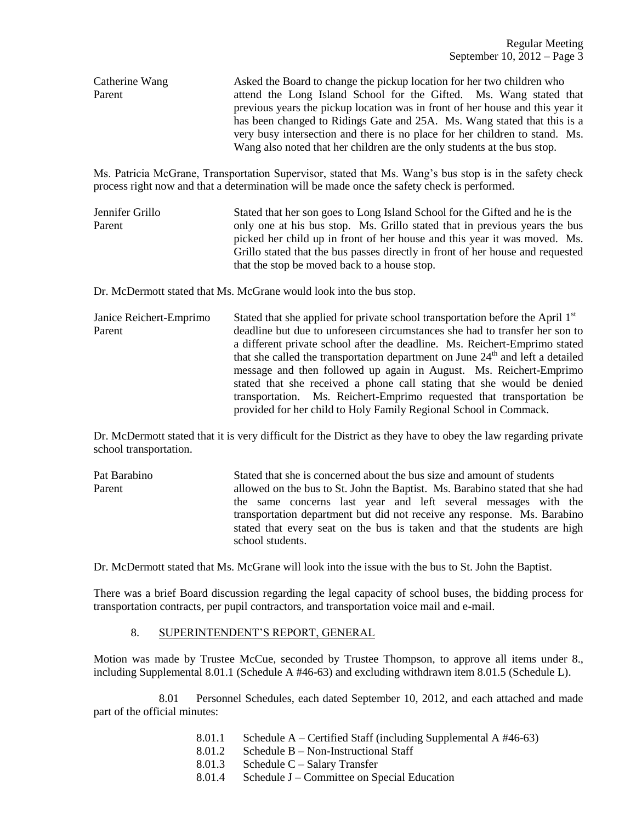Catherine Wang Asked the Board to change the pickup location for her two children who Parent attend the Long Island School for the Gifted. Ms. Wang stated that previous years the pickup location was in front of her house and this year it has been changed to Ridings Gate and 25A. Ms. Wang stated that this is a very busy intersection and there is no place for her children to stand. Ms. Wang also noted that her children are the only students at the bus stop.

Ms. Patricia McGrane, Transportation Supervisor, stated that Ms. Wang's bus stop is in the safety check process right now and that a determination will be made once the safety check is performed.

Jennifer Grillo Stated that her son goes to Long Island School for the Gifted and he is the Parent only one at his bus stop. Ms. Grillo stated that in previous years the bus picked her child up in front of her house and this year it was moved. Ms. Grillo stated that the bus passes directly in front of her house and requested that the stop be moved back to a house stop.

Dr. McDermott stated that Ms. McGrane would look into the bus stop.

Janice Reichert-Emprimo Stated that she applied for private school transportation before the April  $1<sup>st</sup>$ Parent deadline but due to unforeseen circumstances she had to transfer her son to a different private school after the deadline. Ms. Reichert-Emprimo stated that she called the transportation department on June  $24<sup>th</sup>$  and left a detailed message and then followed up again in August. Ms. Reichert-Emprimo stated that she received a phone call stating that she would be denied transportation. Ms. Reichert-Emprimo requested that transportation be provided for her child to Holy Family Regional School in Commack.

Dr. McDermott stated that it is very difficult for the District as they have to obey the law regarding private school transportation.

Pat Barabino Stated that she is concerned about the bus size and amount of students Parent allowed on the bus to St. John the Baptist. Ms. Barabino stated that she had the same concerns last year and left several messages with the transportation department but did not receive any response. Ms. Barabino stated that every seat on the bus is taken and that the students are high school students.

Dr. McDermott stated that Ms. McGrane will look into the issue with the bus to St. John the Baptist.

There was a brief Board discussion regarding the legal capacity of school buses, the bidding process for transportation contracts, per pupil contractors, and transportation voice mail and e-mail.

## 8. SUPERINTENDENT'S REPORT, GENERAL

Motion was made by Trustee McCue, seconded by Trustee Thompson, to approve all items under 8., including Supplemental 8.01.1 (Schedule A #46-63) and excluding withdrawn item 8.01.5 (Schedule L).

8.01 Personnel Schedules, each dated September 10, 2012, and each attached and made part of the official minutes:

- 8.01.1 Schedule A Certified Staff (including Supplemental A #46-63)
- 8.01.2 Schedule B Non-Instructional Staff
- 8.01.3 Schedule C Salary Transfer
- 8.01.4 Schedule J Committee on Special Education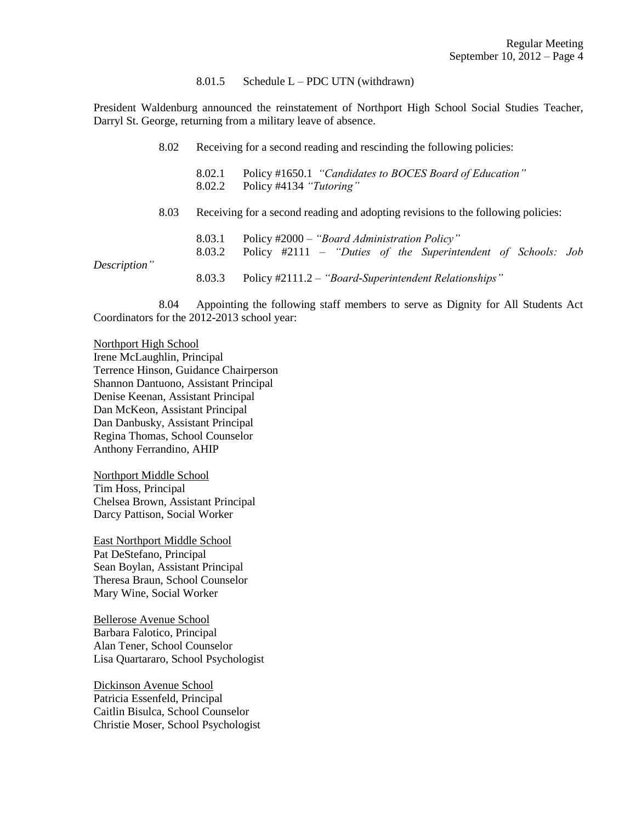#### 8.01.5 Schedule  $L - PDC$  UTN (withdrawn)

President Waldenburg announced the reinstatement of Northport High School Social Studies Teacher, Darryl St. George, returning from a military leave of absence.

| 8.02         |      | Receiving for a second reading and rescinding the following policies: |                                                                                                              |  |  |
|--------------|------|-----------------------------------------------------------------------|--------------------------------------------------------------------------------------------------------------|--|--|
|              |      | 8.02.1<br>8.02.2                                                      | Policy #1650.1 "Candidates to BOCES Board of Education"<br>Policy #4134 "Tutoring"                           |  |  |
|              | 8.03 |                                                                       | Receiving for a second reading and adopting revisions to the following policies:                             |  |  |
|              |      | 8.03.1<br>8.03.2                                                      | Policy #2000 - "Board Administration Policy"<br>Policy #2111 – "Duties of the Superintendent of Schools: Job |  |  |
| Description" |      | 8.03.3                                                                | Policy #2111.2 - "Board-Superintendent Relationships"                                                        |  |  |

8.04 Appointing the following staff members to serve as Dignity for All Students Act Coordinators for the 2012-2013 school year:

Northport High School Irene McLaughlin, Principal Terrence Hinson, Guidance Chairperson Shannon Dantuono, Assistant Principal Denise Keenan, Assistant Principal Dan McKeon, Assistant Principal Dan Danbusky, Assistant Principal Regina Thomas, School Counselor Anthony Ferrandino, AHIP

Northport Middle School Tim Hoss, Principal Chelsea Brown, Assistant Principal Darcy Pattison, Social Worker

East Northport Middle School Pat DeStefano, Principal Sean Boylan, Assistant Principal Theresa Braun, School Counselor Mary Wine, Social Worker

Bellerose Avenue School Barbara Falotico, Principal Alan Tener, School Counselor Lisa Quartararo, School Psychologist

Dickinson Avenue School Patricia Essenfeld, Principal Caitlin Bisulca, School Counselor Christie Moser, School Psychologist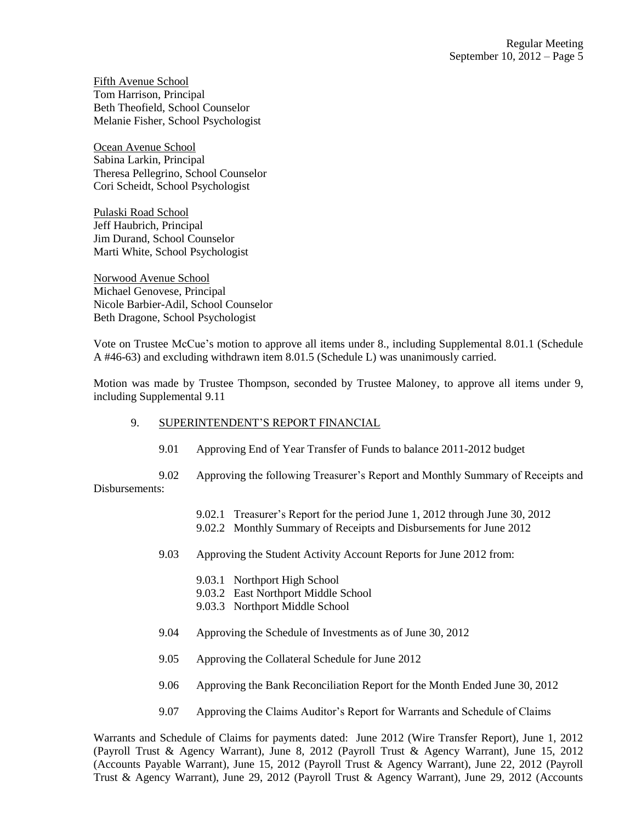Fifth Avenue School Tom Harrison, Principal Beth Theofield, School Counselor Melanie Fisher, School Psychologist

Ocean Avenue School Sabina Larkin, Principal Theresa Pellegrino, School Counselor Cori Scheidt, School Psychologist

Pulaski Road School Jeff Haubrich, Principal Jim Durand, School Counselor Marti White, School Psychologist

Norwood Avenue School Michael Genovese, Principal Nicole Barbier-Adil, School Counselor Beth Dragone, School Psychologist

Vote on Trustee McCue's motion to approve all items under 8., including Supplemental 8.01.1 (Schedule A #46-63) and excluding withdrawn item 8.01.5 (Schedule L) was unanimously carried.

Motion was made by Trustee Thompson, seconded by Trustee Maloney, to approve all items under 9, including Supplemental 9.11

- 9. SUPERINTENDENT'S REPORT FINANCIAL
	- 9.01 Approving End of Year Transfer of Funds to balance 2011-2012 budget

9.02 Approving the following Treasurer's Report and Monthly Summary of Receipts and Disbursements:

- 9.02.1 Treasurer's Report for the period June 1, 2012 through June 30, 2012
- 9.02.2 Monthly Summary of Receipts and Disbursements for June 2012
- 9.03 Approving the Student Activity Account Reports for June 2012 from:
	- 9.03.1 Northport High School
	- 9.03.2 East Northport Middle School
	- 9.03.3 Northport Middle School
- 9.04 Approving the Schedule of Investments as of June 30, 2012
- 9.05 Approving the Collateral Schedule for June 2012
- 9.06 Approving the Bank Reconciliation Report for the Month Ended June 30, 2012
- 9.07 Approving the Claims Auditor's Report for Warrants and Schedule of Claims

Warrants and Schedule of Claims for payments dated: June 2012 (Wire Transfer Report), June 1, 2012 (Payroll Trust & Agency Warrant), June 8, 2012 (Payroll Trust & Agency Warrant), June 15, 2012 (Accounts Payable Warrant), June 15, 2012 (Payroll Trust & Agency Warrant), June 22, 2012 (Payroll Trust & Agency Warrant), June 29, 2012 (Payroll Trust & Agency Warrant), June 29, 2012 (Accounts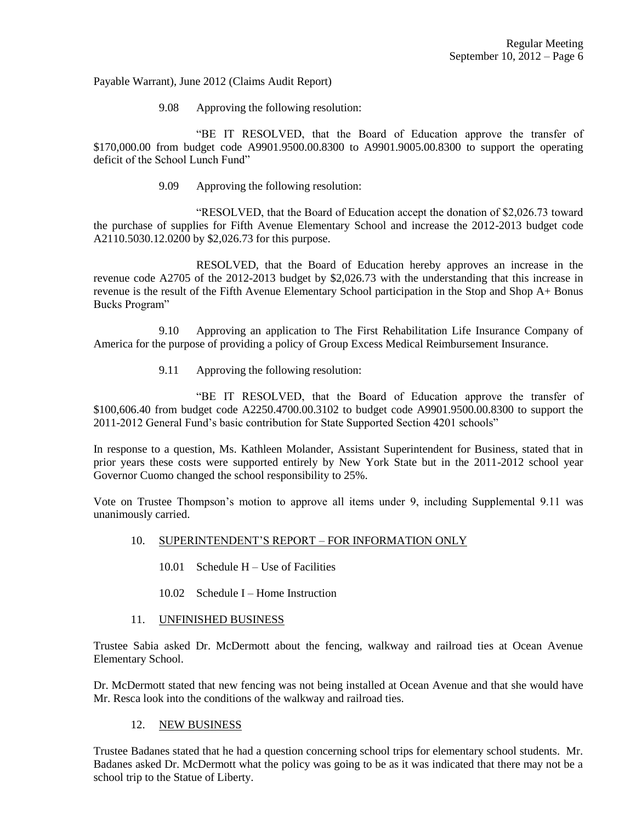Payable Warrant), June 2012 (Claims Audit Report)

9.08 Approving the following resolution:

"BE IT RESOLVED, that the Board of Education approve the transfer of \$170,000.00 from budget code A9901.9500.00.8300 to A9901.9005.00.8300 to support the operating deficit of the School Lunch Fund"

9.09 Approving the following resolution:

"RESOLVED, that the Board of Education accept the donation of \$2,026.73 toward the purchase of supplies for Fifth Avenue Elementary School and increase the 2012-2013 budget code A2110.5030.12.0200 by \$2,026.73 for this purpose.

RESOLVED, that the Board of Education hereby approves an increase in the revenue code A2705 of the 2012-2013 budget by \$2,026.73 with the understanding that this increase in revenue is the result of the Fifth Avenue Elementary School participation in the Stop and Shop A+ Bonus Bucks Program"

9.10 Approving an application to The First Rehabilitation Life Insurance Company of America for the purpose of providing a policy of Group Excess Medical Reimbursement Insurance.

9.11 Approving the following resolution:

"BE IT RESOLVED, that the Board of Education approve the transfer of \$100,606.40 from budget code A2250.4700.00.3102 to budget code A9901.9500.00.8300 to support the 2011-2012 General Fund's basic contribution for State Supported Section 4201 schools"

In response to a question, Ms. Kathleen Molander, Assistant Superintendent for Business, stated that in prior years these costs were supported entirely by New York State but in the 2011-2012 school year Governor Cuomo changed the school responsibility to 25%.

Vote on Trustee Thompson's motion to approve all items under 9, including Supplemental 9.11 was unanimously carried.

- 10. SUPERINTENDENT'S REPORT FOR INFORMATION ONLY
	- 10.01 Schedule H Use of Facilities
	- 10.02 Schedule I Home Instruction
- 11. UNFINISHED BUSINESS

Trustee Sabia asked Dr. McDermott about the fencing, walkway and railroad ties at Ocean Avenue Elementary School.

Dr. McDermott stated that new fencing was not being installed at Ocean Avenue and that she would have Mr. Resca look into the conditions of the walkway and railroad ties.

### 12. NEW BUSINESS

Trustee Badanes stated that he had a question concerning school trips for elementary school students. Mr. Badanes asked Dr. McDermott what the policy was going to be as it was indicated that there may not be a school trip to the Statue of Liberty.